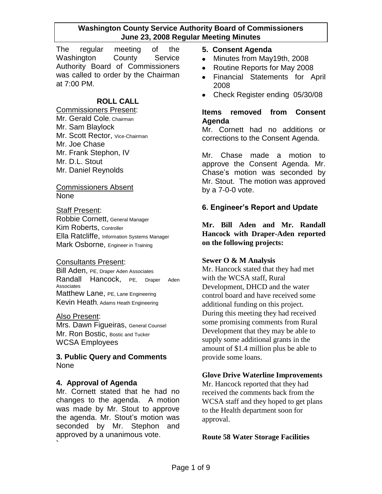The regular meeting of the Washington County Service Authority Board of Commissioners was called to order by the Chairman at 7:00 PM.

## **ROLL CALL**

Commissioners Present: Mr. Gerald Cole, Chairman Mr. Sam Blaylock Mr. Scott Rector, Vice-Chairman Mr. Joe Chase Mr. Frank Stephon, IV Mr. D.L. Stout Mr. Daniel Reynolds

#### Commissioners Absent None

#### Staff Present:

Robbie Cornett, General Manager Kim Roberts, Controller Ella Ratcliffe, Information Systems Manager Mark Osborne, Engineer in Training

#### Consultants Present:

Bill Aden, PE, Draper Aden Associates Randall Hancock, PE, Draper Aden Associates Matthew Lane, PE, Lane Engineering Kevin Heath, Adams Heath Engineering

#### Also Present:

Mrs. Dawn Figueiras, General Counsel Mr. Ron Bostic, Bostic and Tucker WCSA Employees

## **3. Public Query and Comments** None

## **4. Approval of Agenda**

Mr. Cornett stated that he had no changes to the agenda. A motion was made by Mr. Stout to approve the agenda. Mr. Stout's motion was seconded by Mr. Stephon and approved by a unanimous vote. **`**

### **5. Consent Agenda**

- Minutes from May19th, 2008  $\bullet$
- Routine Reports for May 2008  $\bullet$
- Financial Statements for April  $\bullet$ 2008
- Check Register ending 05/30/08

### **Items removed from Consent Agenda**

Mr. Cornett had no additions or corrections to the Consent Agenda.

Mr. Chase made a motion to approve the Consent Agenda. Mr. Chase's motion was seconded by Mr. Stout. The motion was approved by a 7-0-0 vote.

## **6. Engineer's Report and Update**

**Mr. Bill Aden and Mr. Randall Hancock with Draper-Aden reported on the following projects:**

#### **Sewer O & M Analysis**

Mr. Hancock stated that they had met with the WCSA staff, Rural Development, DHCD and the water control board and have received some additional funding on this project. During this meeting they had received some promising comments from Rural Development that they may be able to supply some additional grants in the amount of \$1.4 million plus be able to provide some loans.

## **Glove Drive Waterline Improvements**

Mr. Hancock reported that they had received the comments back from the WCSA staff and they hoped to get plans to the Health department soon for approval.

#### **Route 58 Water Storage Facilities**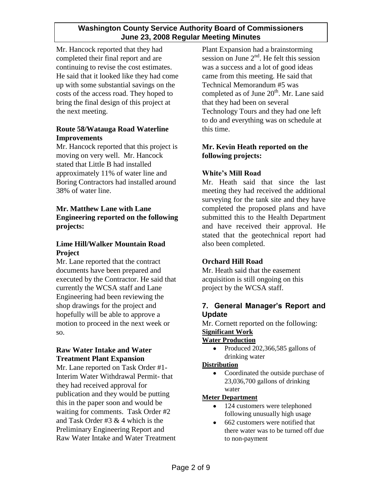Mr. Hancock reported that they had completed their final report and are continuing to revise the cost estimates. He said that it looked like they had come up with some substantial savings on the costs of the access road. They hoped to bring the final design of this project at the next meeting.

## **Route 58/Watauga Road Waterline Improvements**

Mr. Hancock reported that this project is moving on very well. Mr. Hancock stated that Little B had installed approximately 11% of water line and Boring Contractors had installed around 38% of water line.

## **Mr. Matthew Lane with Lane Engineering reported on the following projects:**

## **Lime Hill/Walker Mountain Road Project**

Mr. Lane reported that the contract documents have been prepared and executed by the Contractor. He said that currently the WCSA staff and Lane Engineering had been reviewing the shop drawings for the project and hopefully will be able to approve a motion to proceed in the next week or so.

## **Raw Water Intake and Water Treatment Plant Expansion**

Mr. Lane reported on Task Order #1- Interim Water Withdrawal Permit- that they had received approval for publication and they would be putting this in the paper soon and would be waiting for comments. Task Order #2 and Task Order #3 & 4 which is the Preliminary Engineering Report and Raw Water Intake and Water Treatment

Plant Expansion had a brainstorming session on June  $2<sup>nd</sup>$ . He felt this session was a success and a lot of good ideas came from this meeting. He said that Technical Memorandum #5 was completed as of June  $20<sup>th</sup>$ . Mr. Lane said that they had been on several Technology Tours and they had one left to do and everything was on schedule at this time.

# **Mr. Kevin Heath reported on the following projects:**

# **White's Mill Road**

Mr. Heath said that since the last meeting they had received the additional surveying for the tank site and they have completed the proposed plans and have submitted this to the Health Department and have received their approval. He stated that the geotechnical report had also been completed.

## **Orchard Hill Road**

Mr. Heath said that the easement acquisition is still ongoing on this project by the WCSA staff.

## **7. General Manager's Report and Update**

Mr. Cornett reported on the following: **Significant Work**

## **Water Production**

Produced 202,366,585 gallons of drinking water

## **Distribution**

Coordinated the outside purchase of  $\bullet$ 23,036,700 gallons of drinking water

## **Meter Department**

- 124 customers were telephoned  $\bullet$ following unusually high usage
- 662 customers were notified that  $\bullet$ there water was to be turned off due to non-payment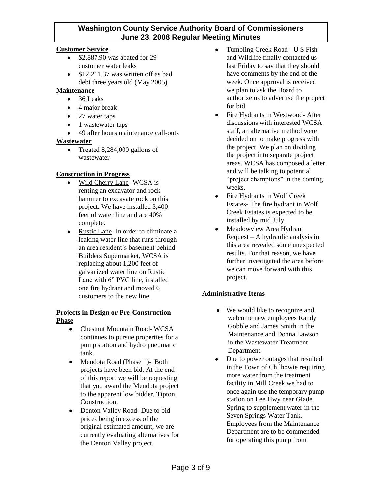#### **Customer Service**

- \$2,887.90 was abated for 29  $\bullet$ customer water leaks
- $\bullet$  \$12,211.37 was written off as bad debt three years old (May 2005)

#### **Maintenance**

- 36 Leaks  $\bullet$
- 4 major break
- 27 water taps
- 1 wastewater taps
- 49 after hours maintenance call-outs

#### **Wastewater**

Treated 8,284,000 gallons of wastewater

#### **Construction in Progress**

- Wild Cherry Lane- WCSA is  $\bullet$ renting an excavator and rock hammer to excavate rock on this project. We have installed 3,400 feet of water line and are 40% complete.
- $\bullet$ Rustic Lane- In order to eliminate a leaking water line that runs through an area resident's basement behind Builders Supermarket, WCSA is replacing about 1,200 feet of galvanized water line on Rustic Lane with 6" PVC line, installed one fire hydrant and moved 6 customers to the new line.

#### **Projects in Design or Pre-Construction Phase**

- Chestnut Mountain Road- WCSA continues to pursue properties for a pump station and hydro pneumatic tank.
- Mendota Road (Phase 1)- Both  $\bullet$ projects have been bid. At the end of this report we will be requesting that you award the Mendota project to the apparent low bidder, Tipton Construction.
- $\bullet$  . Denton Valley Road- Due to bid prices being in excess of the original estimated amount, we are currently evaluating alternatives for the Denton Valley project.
- Tumbling Creek Road- U S Fish and Wildlife finally contacted us last Friday to say that they should have comments by the end of the week. Once approval is received we plan to ask the Board to authorize us to advertise the project for bid.
- Fire Hydrants in Westwood- After  $\bullet$ discussions with interested WCSA staff, an alternative method were decided on to make progress with the project. We plan on dividing the project into separate project areas. WCSA has composed a letter and will be talking to potential "project champions" in the coming weeks.
- Fire Hydrants in Wolf Creek Estates- The fire hydrant in Wolf Creek Estates is expected to be installed by mid July.
- Meadowview Area Hydrant Request – A hydraulic analysis in this area revealed some unexpected results. For that reason, we have further investigated the area before we can move forward with this project.

#### **Administrative Items**

- We would like to recognize and welcome new employees Randy Gobble and James Smith in the Maintenance and Donna Lawson in the Wastewater Treatment Department.
- Due to power outages that resulted in the Town of Chilhowie requiring more water from the treatment facility in Mill Creek we had to once again use the temporary pump station on Lee Hwy near Glade Spring to supplement water in the Seven Springs Water Tank. Employees from the Maintenance Department are to be commended for operating this pump from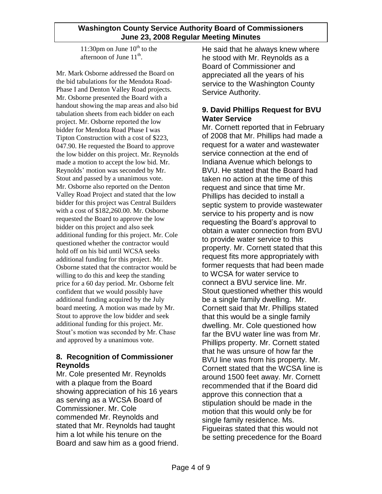11:30pm on June  $10^{th}$  to the afternoon of June  $11<sup>th</sup>$ .

Mr. Mark Osborne addressed the Board on the bid tabulations for the Mendota Road-Phase I and Denton Valley Road projects. Mr. Osborne presented the Board with a handout showing the map areas and also bid tabulation sheets from each bidder on each project. Mr. Osborne reported the low bidder for Mendota Road Phase I was Tipton Construction with a cost of \$223, 047.90. He requested the Board to approve the low bidder on this project. Mr. Reynolds made a motion to accept the low bid. Mr. Reynolds' motion was seconded by Mr. Stout and passed by a unanimous vote. Mr. Osborne also reported on the Denton Valley Road Project and stated that the low bidder for this project was Central Builders with a cost of \$182,260.00. Mr. Osborne requested the Board to approve the low bidder on this project and also seek additional funding for this project. Mr. Cole questioned whether the contractor would hold off on his bid until WCSA seeks additional funding for this project. Mr. Osborne stated that the contractor would be willing to do this and keep the standing price for a 60 day period. Mr. Osborne felt confident that we would possibly have additional funding acquired by the July board meeting. A motion was made by Mr. Stout to approve the low bidder and seek additional funding for this project. Mr. Stout's motion was seconded by Mr. Chase and approved by a unanimous vote.

# **8. Recognition of Commissioner Reynolds**

Mr. Cole presented Mr. Reynolds with a plaque from the Board showing appreciation of his 16 years as serving as a WCSA Board of Commissioner. Mr. Cole commended Mr. Reynolds and stated that Mr. Reynolds had taught him a lot while his tenure on the Board and saw him as a good friend. He said that he always knew where he stood with Mr. Reynolds as a Board of Commissioner and appreciated all the years of his service to the Washington County Service Authority.

## **9. David Phillips Request for BVU Water Service**

Mr. Cornett reported that in February of 2008 that Mr. Phillips had made a request for a water and wastewater service connection at the end of Indiana Avenue which belongs to BVU. He stated that the Board had taken no action at the time of this request and since that time Mr. Phillips has decided to install a septic system to provide wastewater service to his property and is now requesting the Board's approval to obtain a water connection from BVU to provide water service to this property. Mr. Cornett stated that this request fits more appropriately with former requests that had been made to WCSA for water service to connect a BVU service line. Mr. Stout questioned whether this would be a single family dwelling. Mr. Cornett said that Mr. Phillips stated that this would be a single family dwelling. Mr. Cole questioned how far the BVU water line was from Mr. Phillips property. Mr. Cornett stated that he was unsure of how far the BVU line was from his property. Mr. Cornett stated that the WCSA line is around 1500 feet away. Mr. Cornett recommended that if the Board did approve this connection that a stipulation should be made in the motion that this would only be for single family residence. Ms. Figueiras stated that this would not be setting precedence for the Board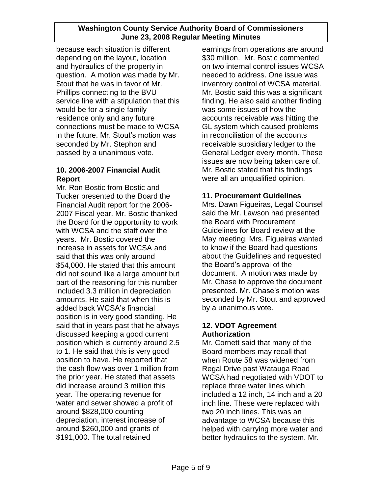because each situation is different depending on the layout, location and hydraulics of the property in question. A motion was made by Mr. Stout that he was in favor of Mr. Phillips connecting to the BVU service line with a stipulation that this would be for a single family residence only and any future connections must be made to WCSA in the future. Mr. Stout's motion was seconded by Mr. Stephon and passed by a unanimous vote.

## **10. 2006-2007 Financial Audit Report**

Mr. Ron Bostic from Bostic and Tucker presented to the Board the Financial Audit report for the 2006- 2007 Fiscal year. Mr. Bostic thanked the Board for the opportunity to work with WCSA and the staff over the years. Mr. Bostic covered the increase in assets for WCSA and said that this was only around \$54,000. He stated that this amount did not sound like a large amount but part of the reasoning for this number included 3.3 million in depreciation amounts. He said that when this is added back WCSA's financial position is in very good standing. He said that in years past that he always discussed keeping a good current position which is currently around 2.5 to 1. He said that this is very good position to have. He reported that the cash flow was over 1 million from the prior year. He stated that assets did increase around 3 million this year. The operating revenue for water and sewer showed a profit of around \$828,000 counting depreciation, interest increase of around \$260,000 and grants of \$191,000. The total retained

earnings from operations are around \$30 million. Mr. Bostic commented on two internal control issues WCSA needed to address. One issue was inventory control of WCSA material. Mr. Bostic said this was a significant finding. He also said another finding was some issues of how the accounts receivable was hitting the GL system which caused problems in reconciliation of the accounts receivable subsidiary ledger to the General Ledger every month. These issues are now being taken care of. Mr. Bostic stated that his findings were all an unqualified opinion.

# **11. Procurement Guidelines**

Mrs. Dawn Figueiras, Legal Counsel said the Mr. Lawson had presented the Board with Procurement Guidelines for Board review at the May meeting. Mrs. Figueiras wanted to know if the Board had questions about the Guidelines and requested the Board's approval of the document. A motion was made by Mr. Chase to approve the document presented. Mr. Chase's motion was seconded by Mr. Stout and approved by a unanimous vote.

## **12. VDOT Agreement Authorization**

Mr. Cornett said that many of the Board members may recall that when Route 58 was widened from Regal Drive past Watauga Road WCSA had negotiated with VDOT to replace three water lines which included a 12 inch, 14 inch and a 20 inch line. These were replaced with two 20 inch lines. This was an advantage to WCSA because this helped with carrying more water and better hydraulics to the system. Mr.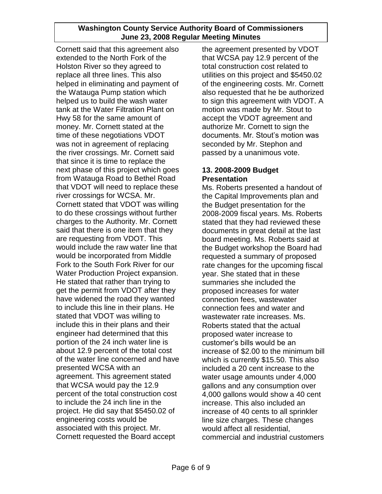Cornett said that this agreement also extended to the North Fork of the Holston River so they agreed to replace all three lines. This also helped in eliminating and payment of the Watauga Pump station which helped us to build the wash water tank at the Water Filtration Plant on Hwy 58 for the same amount of money. Mr. Cornett stated at the time of these negotiations VDOT was not in agreement of replacing the river crossings. Mr. Cornett said that since it is time to replace the next phase of this project which goes from Watauga Road to Bethel Road that VDOT will need to replace these river crossings for WCSA. Mr. Cornett stated that VDOT was willing to do these crossings without further charges to the Authority. Mr. Cornett said that there is one item that they are requesting from VDOT. This would include the raw water line that would be incorporated from Middle Fork to the South Fork River for our Water Production Project expansion. He stated that rather than trying to get the permit from VDOT after they have widened the road they wanted to include this line in their plans. He stated that VDOT was willing to include this in their plans and their engineer had determined that this portion of the 24 inch water line is about 12.9 percent of the total cost of the water line concerned and have presented WCSA with an agreement. This agreement stated that WCSA would pay the 12.9 percent of the total construction cost to include the 24 inch line in the project. He did say that \$5450.02 of engineering costs would be associated with this project. Mr. Cornett requested the Board accept

the agreement presented by VDOT that WCSA pay 12.9 percent of the total construction cost related to utilities on this project and \$5450.02 of the engineering costs. Mr. Cornett also requested that he be authorized to sign this agreement with VDOT. A motion was made by Mr. Stout to accept the VDOT agreement and authorize Mr. Cornett to sign the documents. Mr. Stout's motion was seconded by Mr. Stephon and passed by a unanimous vote.

## **13. 2008-2009 Budget Presentation**

Ms. Roberts presented a handout of the Capital Improvements plan and the Budget presentation for the 2008-2009 fiscal years. Ms. Roberts stated that they had reviewed these documents in great detail at the last board meeting. Ms. Roberts said at the Budget workshop the Board had requested a summary of proposed rate changes for the upcoming fiscal year. She stated that in these summaries she included the proposed increases for water connection fees, wastewater connection fees and water and wastewater rate increases. Ms. Roberts stated that the actual proposed water increase to customer's bills would be an increase of \$2.00 to the minimum bill which is currently \$15.50. This also included a 20 cent increase to the water usage amounts under 4,000 gallons and any consumption over 4,000 gallons would show a 40 cent increase. This also included an increase of 40 cents to all sprinkler line size charges. These changes would affect all residential, commercial and industrial customers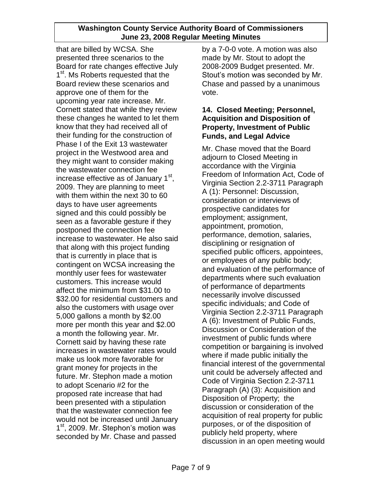that are billed by WCSA. She presented three scenarios to the Board for rate changes effective July 1<sup>st</sup>. Ms Roberts requested that the Board review these scenarios and approve one of them for the upcoming year rate increase. Mr. Cornett stated that while they review these changes he wanted to let them know that they had received all of their funding for the construction of Phase I of the Exit 13 wastewater project in the Westwood area and they might want to consider making the wastewater connection fee increase effective as of January 1<sup>st</sup>, 2009. They are planning to meet with them within the next 30 to 60 days to have user agreements signed and this could possibly be seen as a favorable gesture if they postponed the connection fee increase to wastewater. He also said that along with this project funding that is currently in place that is contingent on WCSA increasing the monthly user fees for wastewater customers. This increase would affect the minimum from \$31.00 to \$32.00 for residential customers and also the customers with usage over 5,000 gallons a month by \$2.00 more per month this year and \$2.00 a month the following year. Mr. Cornett said by having these rate increases in wastewater rates would make us look more favorable for grant money for projects in the future. Mr. Stephon made a motion to adopt Scenario #2 for the proposed rate increase that had been presented with a stipulation that the wastewater connection fee would not be increased until January 1<sup>st</sup>, 2009. Mr. Stephon's motion was seconded by Mr. Chase and passed

by a 7-0-0 vote. A motion was also made by Mr. Stout to adopt the 2008-2009 Budget presented. Mr. Stout's motion was seconded by Mr. Chase and passed by a unanimous vote.

## **14. Closed Meeting; Personnel, Acquisition and Disposition of Property, Investment of Public Funds, and Legal Advice**

Mr. Chase moved that the Board adjourn to Closed Meeting in accordance with the Virginia Freedom of Information Act, Code of Virginia Section 2.2-3711 Paragraph A (1): Personnel: Discussion, consideration or interviews of prospective candidates for employment; assignment, appointment, promotion, performance, demotion, salaries, disciplining or resignation of specified public officers, appointees, or employees of any public body; and evaluation of the performance of departments where such evaluation of performance of departments necessarily involve discussed specific individuals; and Code of Virginia Section 2.2-3711 Paragraph A (6): Investment of Public Funds, Discussion or Consideration of the investment of public funds where competition or bargaining is involved where if made public initially the financial interest of the governmental unit could be adversely affected and Code of Virginia Section 2.2-3711 Paragraph (A) (3): Acquisition and Disposition of Property; the discussion or consideration of the acquisition of real property for public purposes, or of the disposition of publicly held property, where discussion in an open meeting would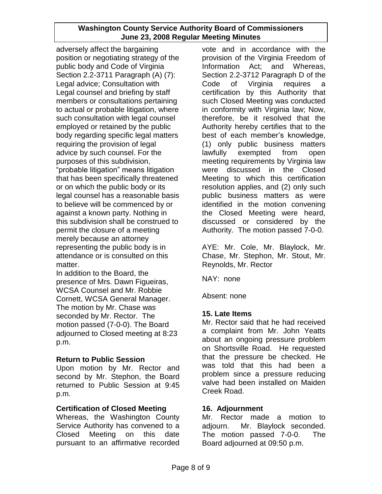adversely affect the bargaining position or negotiating strategy of the public body and Code of Virginia Section 2.2-3711 Paragraph (A) (7): Legal advice; Consultation with Legal counsel and briefing by staff members or consultations pertaining to actual or probable litigation, where such consultation with legal counsel employed or retained by the public body regarding specific legal matters requiring the provision of legal advice by such counsel. For the purposes of this subdivision, "probable litigation" means litigation that has been specifically threatened or on which the public body or its legal counsel has a reasonable basis to believe will be commenced by or against a known party. Nothing in this subdivision shall be construed to permit the closure of a meeting merely because an attorney representing the public body is in attendance or is consulted on this matter.

In addition to the Board, the presence of Mrs. Dawn Figueiras, WCSA Counsel and Mr. Robbie Cornett, WCSA General Manager. The motion by Mr. Chase was seconded by Mr. Rector. The motion passed (7-0-0). The Board adjourned to Closed meeting at 8:23 p.m.

## **Return to Public Session**

Upon motion by Mr. Rector and second by Mr. Stephon, the Board returned to Public Session at 9:45 p.m.

## **Certification of Closed Meeting**

Whereas, the Washington County Service Authority has convened to a Closed Meeting on this date pursuant to an affirmative recorded vote and in accordance with the provision of the Virginia Freedom of Information Act; and Whereas, Section 2.2-3712 Paragraph D of the Code of Virginia requires a certification by this Authority that such Closed Meeting was conducted in conformity with Virginia law; Now, therefore, be it resolved that the Authority hereby certifies that to the best of each member's knowledge, (1) only public business matters lawfully exempted from open meeting requirements by Virginia law were discussed in the Closed Meeting to which this certification resolution applies, and (2) only such public business matters as were identified in the motion convening the Closed Meeting were heard, discussed or considered by the Authority. The motion passed 7-0-0.

AYE: Mr. Cole, Mr. Blaylock, Mr. Chase, Mr. Stephon, Mr. Stout, Mr. Reynolds, Mr. Rector

NAY: none

Absent: none

## **15. Late Items**

Mr. Rector said that he had received a complaint from Mr. John Yeatts about an ongoing pressure problem on Shortsville Road. He requested that the pressure be checked. He was told that this had been a problem since a pressure reducing valve had been installed on Maiden Creek Road.

## **16. Adjournment**

Mr. Rector made a motion to adjourn. Mr. Blaylock seconded. The motion passed 7-0-0. The Board adjourned at 09:50 p.m.